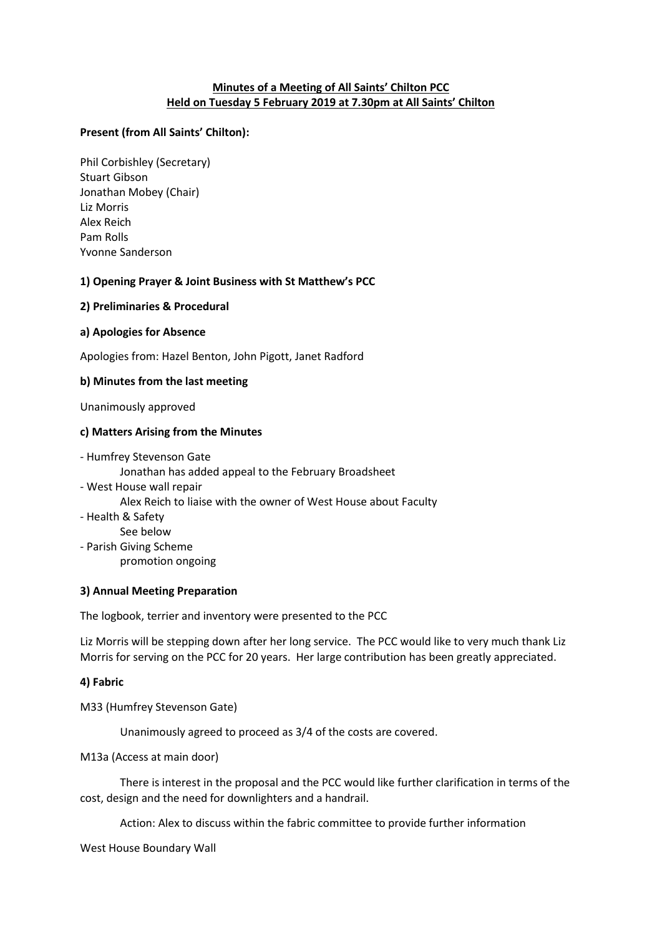## **Minutes of a Meeting of All Saints' Chilton PCC Held on Tuesday 5 February 2019 at 7.30pm at All Saints' Chilton**

### **Present (from All Saints' Chilton):**

Phil Corbishley (Secretary) Stuart Gibson Jonathan Mobey (Chair) Liz Morris Alex Reich Pam Rolls Yvonne Sanderson

### **1) Opening Prayer & Joint Business with St Matthew's PCC**

### **2) Preliminaries & Procedural**

## **a) Apologies for Absence**

Apologies from: Hazel Benton, John Pigott, Janet Radford

## **b) Minutes from the last meeting**

Unanimously approved

## **c) Matters Arising from the Minutes**

- Humfrey Stevenson Gate Jonathan has added appeal to the February Broadsheet - West House wall repair Alex Reich to liaise with the owner of West House about Faculty - Health & Safety See below - Parish Giving Scheme promotion ongoing

### **3) Annual Meeting Preparation**

The logbook, terrier and inventory were presented to the PCC

Liz Morris will be stepping down after her long service. The PCC would like to very much thank Liz Morris for serving on the PCC for 20 years. Her large contribution has been greatly appreciated.

# **4) Fabric**

M33 (Humfrey Stevenson Gate)

Unanimously agreed to proceed as 3/4 of the costs are covered.

M13a (Access at main door)

There is interest in the proposal and the PCC would like further clarification in terms of the cost, design and the need for downlighters and a handrail.

Action: Alex to discuss within the fabric committee to provide further information

West House Boundary Wall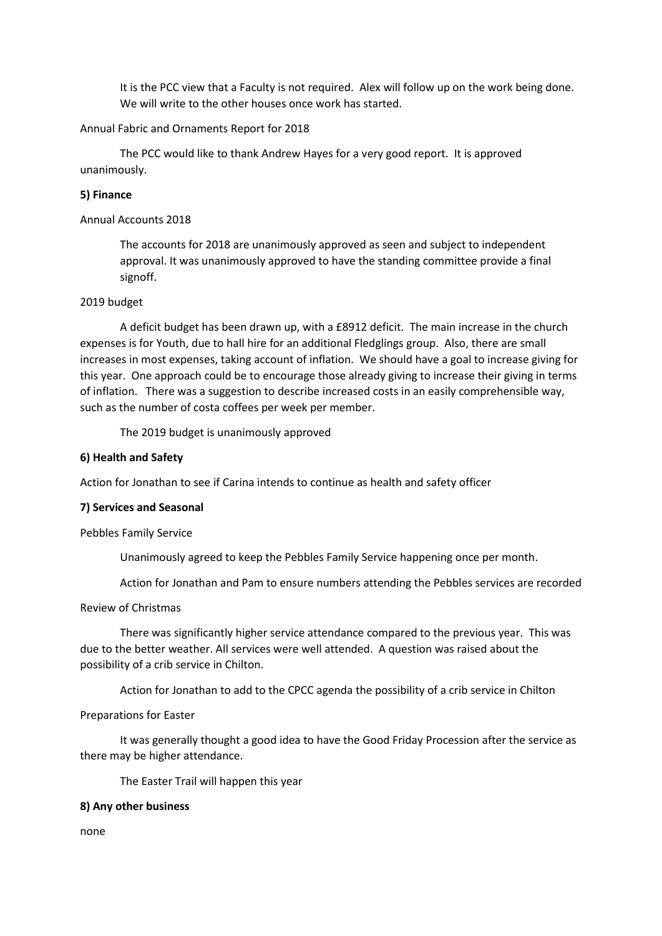It is the PCC view that a Faculty is not required. Alex will follow up on the work being done. We will write to the other houses once work has started.

### Annual Fabric and Ornaments Report for 2018

The PCC would like to thank Andrew Hayes for a very good report. It is approved unanimously.

### **5) Finance**

### Annual Accounts 2018

The accounts for 2018 are unanimously approved as seen and subject to independent approval. It was unanimously approved to have the standing committee provide a final signoff.

### 2019 budget

A deficit budget has been drawn up, with a £8912 deficit. The main increase in the church expenses is for Youth, due to hall hire for an additional Fledglings group. Also, there are small increases in most expenses, taking account of inflation. We should have a goal to increase giving for this year. One approach could be to encourage those already giving to increase their giving in terms of inflation. There was a suggestion to describe increased costs in an easily comprehensible way, such as the number of costa coffees per week per member.

The 2019 budget is unanimously approved

### **6) Health and Safety**

Action for Jonathan to see if Carina intends to continue as health and safety officer

#### **7) Services and Seasonal**

Pebbles Family Service

Unanimously agreed to keep the Pebbles Family Service happening once per month.

Action for Jonathan and Pam to ensure numbers attending the Pebbles services are recorded

### Review of Christmas

There was significantly higher service attendance compared to the previous year. This was due to the better weather. All services were well attended. A question was raised about the possibility of a crib service in Chilton.

Action for Jonathan to add to the CPCC agenda the possibility of a crib service in Chilton

#### Preparations for Easter

It was generally thought a good idea to have the Good Friday Procession after the service as there may be higher attendance.

The Easter Trail will happen this year

#### **8) Any other business**

none